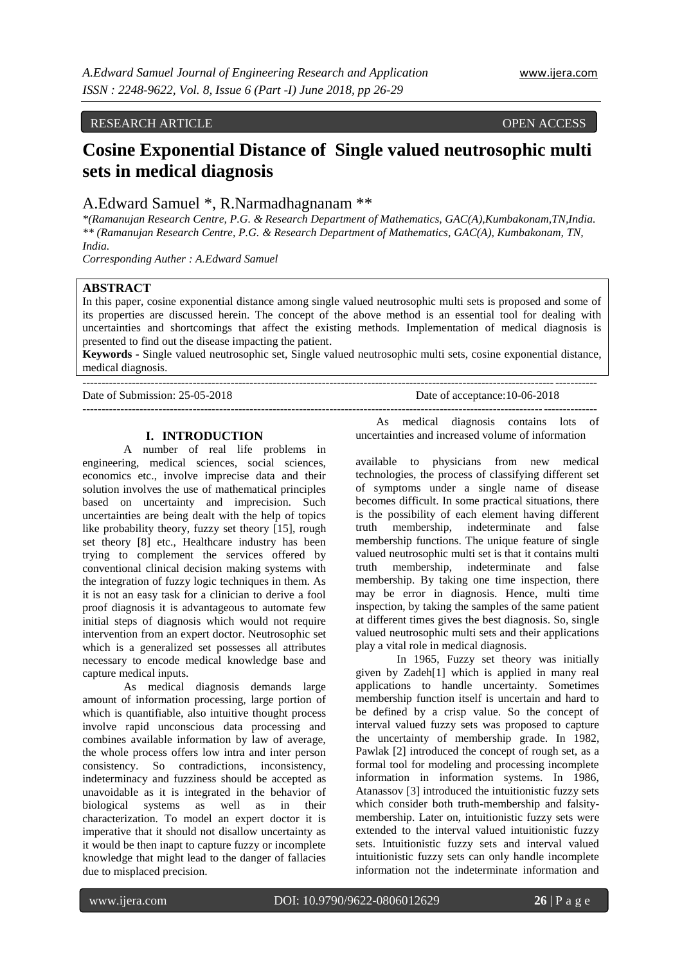# RESEARCH ARTICLE OPEN ACCESS

# **Cosine Exponential Distance of Single valued neutrosophic multi sets in medical diagnosis**

A.Edward Samuel \*, R.Narmadhagnanam \*\*

*\*(Ramanujan Research Centre, P.G. & Research Department of Mathematics, GAC(A),Kumbakonam,TN,India. \*\* (Ramanujan Research Centre, P.G. & Research Department of Mathematics, GAC(A), Kumbakonam, TN, India.*

*Corresponding Auther : A.Edward Samuel*

#### **ABSTRACT**

In this paper, cosine exponential distance among single valued neutrosophic multi sets is proposed and some of its properties are discussed herein. The concept of the above method is an essential tool for dealing with uncertainties and shortcomings that affect the existing methods. Implementation of medical diagnosis is presented to find out the disease impacting the patient.

**Keywords -** Single valued neutrosophic set, Single valued neutrosophic multi sets, cosine exponential distance, medical diagnosis.

| Date of Submission: 25-05-2018 | Date of acceptance: 10-06-2018 |
|--------------------------------|--------------------------------|
|                                |                                |

## **I. INTRODUCTION**

A number of real life problems in engineering, medical sciences, social sciences, economics etc., involve imprecise data and their solution involves the use of mathematical principles based on uncertainty and imprecision. Such uncertainties are being dealt with the help of topics like probability theory, fuzzy set theory [15], rough set theory [8] etc., Healthcare industry has been trying to complement the services offered by conventional clinical decision making systems with the integration of fuzzy logic techniques in them. As it is not an easy task for a clinician to derive a fool proof diagnosis it is advantageous to automate few initial steps of diagnosis which would not require intervention from an expert doctor. Neutrosophic set which is a generalized set possesses all attributes necessary to encode medical knowledge base and capture medical inputs.

As medical diagnosis demands large amount of information processing, large portion of which is quantifiable, also intuitive thought process involve rapid unconscious data processing and combines available information by law of average, the whole process offers low intra and inter person consistency. So contradictions, inconsistency, indeterminacy and fuzziness should be accepted as unavoidable as it is integrated in the behavior of biological systems as well as in their biological systems as well as in characterization. To model an expert doctor it is imperative that it should not disallow uncertainty as it would be then inapt to capture fuzzy or incomplete knowledge that might lead to the danger of fallacies due to misplaced precision.

As medical diagnosis contains lots of uncertainties and increased volume of information

available to physicians from new medical technologies, the process of classifying different set of symptoms under a single name of disease becomes difficult. In some practical situations, there is the possibility of each element having different truth membership, indeterminate and false membership functions. The unique feature of single valued neutrosophic multi set is that it contains multi truth membership, indeterminate and false membership. By taking one time inspection, there may be error in diagnosis. Hence, multi time inspection, by taking the samples of the same patient at different times gives the best diagnosis. So, single valued neutrosophic multi sets and their applications play a vital role in medical diagnosis.

In 1965, Fuzzy set theory was initially given by Zadeh[1] which is applied in many real applications to handle uncertainty. Sometimes membership function itself is uncertain and hard to be defined by a crisp value. So the concept of interval valued fuzzy sets was proposed to capture the uncertainty of membership grade. In 1982, Pawlak [2] introduced the concept of rough set, as a formal tool for modeling and processing incomplete information in information systems. In 1986, Atanassov [3] introduced the intuitionistic fuzzy sets which consider both truth-membership and falsitymembership. Later on, intuitionistic fuzzy sets were extended to the interval valued intuitionistic fuzzy sets. Intuitionistic fuzzy sets and interval valued intuitionistic fuzzy sets can only handle incomplete information not the indeterminate information and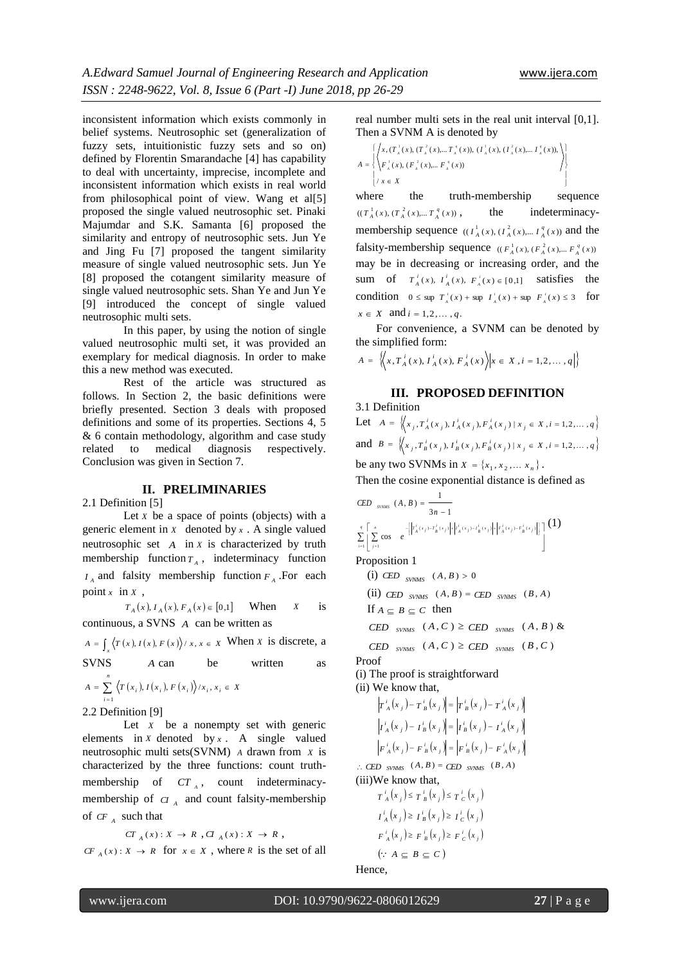inconsistent information which exists commonly in belief systems. Neutrosophic set (generalization of fuzzy sets, intuitionistic fuzzy sets and so on) defined by Florentin Smarandache [4] has capability to deal with uncertainty, imprecise, incomplete and inconsistent information which exists in real world from philosophical point of view. Wang et al[5] proposed the single valued neutrosophic set. Pinaki Majumdar and S.K. Samanta [6] proposed the similarity and entropy of neutrosophic sets. Jun Ye and Jing Fu [7] proposed the tangent similarity measure of single valued neutrosophic sets. Jun Ye [8] proposed the cotangent similarity measure of single valued neutrosophic sets. Shan Ye and Jun Ye [9] introduced the concept of single valued neutrosophic multi sets.

In this paper, by using the notion of single valued neutrosophic multi set, it was provided an exemplary for medical diagnosis. In order to make this a new method was executed.

Rest of the article was structured as follows. In Section 2, the basic definitions were briefly presented. Section 3 deals with proposed definitions and some of its properties. Sections 4, 5 & 6 contain methodology, algorithm and case study related to medical diagnosis respectively. Conclusion was given in Section 7.

#### **II. PRELIMINARIES**

2.1 Definition [5]

Let *x* be a space of points (objects) with a generic element in  $X$  denoted by  $x$ . A single valued neutrosophic set *A* in *X* is characterized by truth membership function  $T_A$ , indeterminacy function  $I_A$  and falsity membership function  $F_A$ . For each point  $x \in \text{in } X$ ,

 $T_A(x), I_A(x), F_A(x) \in [0,1]$  When *X* is continuous, a SVNS *A* can be written as

 $A = \int_{x} \langle T(x), I(x), F(x) \rangle / x, x \in X$  When *X* is discrete, a SVNS *A* be written as

$$
A = \sum_{i=1}^{n} \langle T(x_i), I(x_i), F(x_i) \rangle / x_i, x_i \in X
$$

2.2 Definition [9]

Let  $X$  be a nonempty set with generic elements in  $x$  denoted by  $x$ . A single valued neutrosophic multi sets(SVNM) *A* drawn from *X* is characterized by the three functions: count truthmembership of  $CT_A$ , count indeterminacymembership of  $CI_A$  and count falsity-membership of *CF <sup>A</sup>* such that

$$
CT_{A}(x): X \to R, GI_{A}(x): X \to R,
$$

*CF*  $_A(x) : X \to R$  for  $x \in X$ , where *R* is the set of all

real number multi sets in the real unit interval [0,1]. Then a SVNM A is denoted by

| $\left\{\left\{x,(T_{\lambda}^{-1}(x),(T_{\lambda}^{-2}(x),,T_{\lambda}^{-q}(x)),(T_{\lambda}^{-1}(x),(T_{\lambda}^{-2}(x),,T_{\lambda}^{-q}(x)),\right)\right\}$ |  |
|-------------------------------------------------------------------------------------------------------------------------------------------------------------------|--|
| $A = \left\{ F_{A}^{1}(x), (F_{A}^{2}(x),, F_{A}^{q}(x)) \right\}$                                                                                                |  |
| $X \in X$                                                                                                                                                         |  |

where the truth-membership sequence  $((T_A^1(x), (T_A^2(x),..., T_A^q(x)))$ the indeterminacymembership sequence  $((I_A^1(x), (I_A^2(x), \dots, I_A^q(x)))$  and the falsity-membership sequence  $((F_A^1(x), (F_A^2(x),..., F_A^q(x)))$ may be in decreasing or increasing order, and the sum of  $T_A^i(x)$ ,  $T_A^i(x)$ ,  $F_A^i(x) \in [0,1]$  satisfies the condition  $0 \le \sup T_A^i(x) + \sup T_A^i(x) + \sup T_A^i(x) + \sup F_A^i(x) \le 3$  for  $x \in X$  and  $i = 1, 2, ..., q$ .

For convenience, a SVNM can be denoted by the simplified form:

$$
A = \left\langle \left\langle x, T_A^i(x), T_A^i(x), F_A^i(x) \right\rangle \middle| x \in X, i = 1, 2, ..., q \right\rangle
$$

**III. PROPOSED DEFINITION**

3.1 Definition Let  $A = \left\{ (x_j, T_A^i(x_j), I_A^i(x_j), F_A^i(x_j) | x_j \in X, i = 1, 2, ..., q \right\}$ and  $B = \left\{ (x_j, T_B^i(x_j), I_B^i(x_j), F_B^i(x_j) | x_j \in X, i = 1, 2, ..., q \right\}$ be any two SVNMs in  $X = \{x_1, x_2, ..., x_n\}$ . Then the cosine exponential distance is defined as

$$
\text{CED}_{\text{swass}}(A, B) = \frac{1}{3n - 1}
$$

\n
$$
\sum_{i=1}^{q} \left[ \sum_{j=1}^{n} \cos \left( e^{-\left[ \left| T_A^j(x_j) - T_B^j(x_j) \right| + \left| I_A^i(x_j) - I_B^j(x_j) \right| + \left| F_A^j(x_j) - F_B^j(x_j) \right| \right|} \right] \right]
$$

\n(1)

Proposition 1

(i) *CED* <sub>SVMMS</sub> 
$$
(A, B) > 0
$$
  
(ii) *CED* <sub>SVMMS</sub>  $(A, B) = CED$  <sub>SVMMS</sub>  $(B, A)$ 

If  $A \subseteq B \subseteq C$  then

 $\text{CED}_{\text{SVMMS}}$   $(A, C) \geq \text{CED}_{\text{SVMMS}}$   $(A, B)$  &

 $\text{CED}$  *SVNMS*  $(A, C) \geq \text{CED}$  *SVNMS*  $(B, C)$ 

Proof

(i) The proof is straightforward (ii) We know that,

$$
\begin{aligned} \left| \boldsymbol{T}_{A}^{i}(\boldsymbol{x}_{j}) - \boldsymbol{T}_{B}^{i}(\boldsymbol{x}_{j}) \right| &= \left| \boldsymbol{T}_{B}^{i}(\boldsymbol{x}_{j}) - \boldsymbol{T}_{A}^{i}(\boldsymbol{x}_{j}) \right| \\ \left| \boldsymbol{I}_{A}^{i}(\boldsymbol{x}_{j}) - \boldsymbol{I}_{B}^{i}(\boldsymbol{x}_{j}) \right| &= \left| \boldsymbol{I}_{B}^{i}(\boldsymbol{x}_{j}) - \boldsymbol{I}_{A}^{i}(\boldsymbol{x}_{j}) \right| \\ \left| \boldsymbol{F}_{A}^{i}(\boldsymbol{x}_{j}) - \boldsymbol{F}_{B}^{i}(\boldsymbol{x}_{j}) \right| &= \left| \boldsymbol{F}_{B}^{i}(\boldsymbol{x}_{j}) - \boldsymbol{F}_{A}^{i}(\boldsymbol{x}_{j}) \right| \end{aligned}
$$

 $\therefore$  *CED svNMS*  $(A, B) =$  *CED svNMS*  $(B, A)$ (iii)We know that,

$$
T_A^i(x_j) \le T_B^i(x_j) \le T_C^i(x_j)
$$
  
\n
$$
T_A^i(x_j) \ge T_B^i(x_j) \ge T_C^i(x_j)
$$
  
\n
$$
F_A^i(x_j) \ge F_B^i(x_j) \ge F_C^i(x_j)
$$
  
\n
$$
(\because A \subseteq B \subseteq C)
$$

Hence,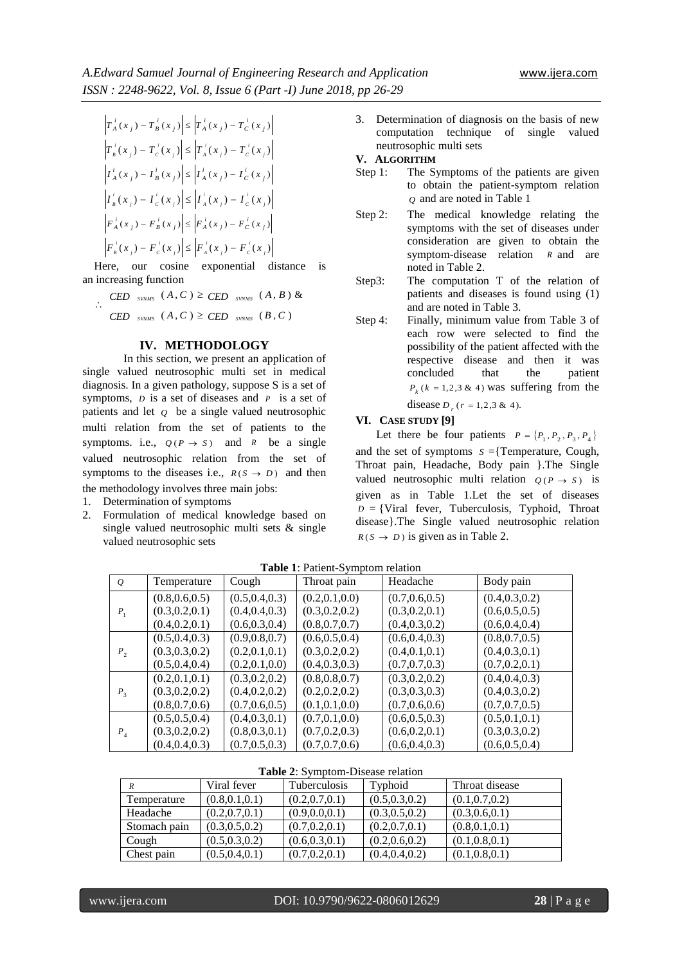$\left| T_{A}^{i}(x_{j}) - T_{B}^{i}(x_{j}) \right| \leq \left| T_{A}^{i}(x_{j}) - T_{C}^{i}(x_{j}) \right|$  $(x_j) - T_c(x_j) \leq T_a(x_j) - T_c(x_j)$ *i j C i j A i j C i*  $\left| T_{\frac{1}{B}}(x_i) - T_{\frac{1}{C}}(x_i) \right| \leq \left| T_{\frac{1}{A}}(x_i) - T_{\frac{1}{C}}(x_i) \right|$  $I_A^i(x_j) - I_B^i(x_j) \leq I_A^i(x_j) - I_C^i(x_j)$  $(x_j) - I_c(x_j) \leq |I_a(x_j) - I_c(x_j)|$ *i j C i j A i j C i*  $\left| I_{B}^{T}(x_{j}) - I_{c}^{T}(x_{j}) \right| \leq \left| I_{A}^{T}(x_{j}) - I_{c}^{T}(x_{j}) \right|$  $\left| F_{A}^{i}(x_{j})-F_{B}^{i}(x_{j}) \right| \leq \left| F_{A}^{i}(x_{j})-F_{C}^{i}(x_{j}) \right|$  $(x_j) - F_c(x_j) \leq |F_a(x_j) - F_c(x_j)|$ *i j C i j A i j C i*  $F_{B}^{+}(x_{j}) - F_{c}^{+}(x_{j}) \leq F_{A}^{+}(x_{j}) - F_{c}^{+}(x_{j})$ 

Here, our cosine exponential distance is an increasing function

 $\mathcal{L}_{\text{c}}$  $(CED$  *SVNMS*  $(A, C) \geq CED$  *SVNMS*  $(B, C)$  $\text{CED}_{\text{SVMMS}}(A, C) \geq \text{CED}_{\text{SVMMS}}(A, B)$  &

#### **IV. METHODOLOGY**

In this section, we present an application of single valued neutrosophic multi set in medical diagnosis. In a given pathology, suppose S is a set of symptoms, *D* is a set of diseases and *P* is a set of patients and let *Q* be a single valued neutrosophic multi relation from the set of patients to the symptoms. i.e.,  $Q(P \rightarrow S)$  and *R* be a single valued neutrosophic relation from the set of symptoms to the diseases i.e.,  $R(S \rightarrow D)$  and then the methodology involves three main jobs:

- 1. Determination of symptoms
- 2. Formulation of medical knowledge based on single valued neutrosophic multi sets & single valued neutrosophic sets

3. Determination of diagnosis on the basis of new computation technique of single valued neutrosophic multi sets

#### **V. ALGORITHM**

- Step 1: The Symptoms of the patients are given to obtain the patient-symptom relation *Q* and are noted in Table 1
- Step 2: The medical knowledge relating the symptoms with the set of diseases under consideration are given to obtain the symptom-disease relation *R* and are noted in Table 2.
- Step3: The computation T of the relation of patients and diseases is found using (1) and are noted in Table 3.
- Step 4: Finally, minimum value from Table 3 of each row were selected to find the possibility of the patient affected with the respective disease and then it was concluded that the patient  $P_k$  ( $k = 1,2,3$  & 4) was suffering from the disease  $D_r$  ( $r = 1,2,3 \& 4$ ).

#### **VI. CASE STUDY [9]**

Let there be four patients  $P = \{P_1, P_2, P_3, P_4\}$ and the set of symptoms  $s =$ {Temperature, Cough, Throat pain, Headache, Body pain }.The Single valued neutrosophic multi relation  $Q(P \rightarrow S)$  is given as in Table 1.Let the set of diseases  $D = \{V \text{iral } \text{fever,}$  Tuberculosis, Typhoid, Throat disease}.The Single valued neutrosophic relation  $R(S \rightarrow D)$  is given as in Table 2.

| $\varrho$      | Temperature     | Cough           | Throat pain     | Headache        | Body pain       |
|----------------|-----------------|-----------------|-----------------|-----------------|-----------------|
|                | (0.8, 0.6, 0.5) | (0.5, 0.4, 0.3) | (0.2, 0.1, 0.0) | (0.7, 0.6, 0.5) | (0.4, 0.3, 0.2) |
| $P_1$          | (0.3, 0.2, 0.1) | (0.4, 0.4, 0.3) | (0.3, 0.2, 0.2) | (0.3, 0.2, 0.1) | (0.6, 0.5, 0.5) |
|                | (0.4, 0.2, 0.1) | (0.6, 0.3, 0.4) | (0.8, 0.7, 0.7) | (0.4, 0.3, 0.2) | (0.6, 0.4, 0.4) |
|                | (0.5, 0.4, 0.3) | (0.9, 0.8, 0.7) | (0.6, 0.5, 0.4) | (0.6, 0.4, 0.3) | (0.8, 0.7, 0.5) |
| P <sub>2</sub> | (0.3, 0.3, 0.2) | (0.2, 0.1, 0.1) | (0.3, 0.2, 0.2) | (0.4, 0.1, 0.1) | (0.4, 0.3, 0.1) |
|                | (0.5, 0.4, 0.4) | (0.2, 0.1, 0.0) | (0.4, 0.3, 0.3) | (0.7, 0.7, 0.3) | (0.7, 0.2, 0.1) |
|                | (0.2, 0.1, 0.1) | (0.3, 0.2, 0.2) | (0.8, 0.8, 0.7) | (0.3, 0.2, 0.2) | (0.4, 0.4, 0.3) |
| $P_3$          | (0.3, 0.2, 0.2) | (0.4, 0.2, 0.2) | (0.2, 0.2, 0.2) | (0.3, 0.3, 0.3) | (0.4, 0.3, 0.2) |
|                | (0.8, 0.7, 0.6) | (0.7, 0.6, 0.5) | (0.1, 0.1, 0.0) | (0.7, 0.6, 0.6) | (0.7, 0.7, 0.5) |
|                | (0.5, 0.5, 0.4) | (0.4, 0.3, 0.1) | (0.7, 0.1, 0.0) | (0.6, 0.5, 0.3) | (0.5, 0.1, 0.1) |
| $P_{\rm A}$    | (0.3, 0.2, 0.2) | (0.8, 0.3, 0.1) | (0.7, 0.2, 0.3) | (0.6, 0.2, 0.1) | (0.3, 0.3, 0.2) |
|                | (0.4, 0.4, 0.3) | (0.7, 0.5, 0.3) | (0.7, 0.7, 0.6) | (0.6, 0.4, 0.3) | (0.6, 0.5, 0.4) |

**Table 1**: Patient-Symptom relation

|  | <b>Table 2:</b> Symptom-Disease relation |  |  |
|--|------------------------------------------|--|--|
|--|------------------------------------------|--|--|

| R            | Viral fever     | <b>Tuberculosis</b> | Typhoid         | Throat disease  |
|--------------|-----------------|---------------------|-----------------|-----------------|
| Temperature  | (0.8, 0.1, 0.1) | (0.2, 0.7, 0.1)     | (0.5, 0.3, 0.2) | (0.1, 0.7, 0.2) |
| Headache     | (0.2, 0.7, 0.1) | (0.9, 0.0, 0.1)     | (0.3, 0.5, 0.2) | (0.3, 0.6, 0.1) |
| Stomach pain | (0.3, 0.5, 0.2) | (0.7, 0.2, 0.1)     | (0.2, 0.7, 0.1) | (0.8, 0.1, 0.1) |
| Cough        | (0.5, 0.3, 0.2) | (0.6, 0.3, 0.1)     | (0.2, 0.6, 0.2) | (0.1, 0.8, 0.1) |
| Chest pain   | (0.5, 0.4, 0.1) | (0.7, 0.2, 0.1)     | (0.4, 0.4, 0.2) | (0.1, 0.8, 0.1) |